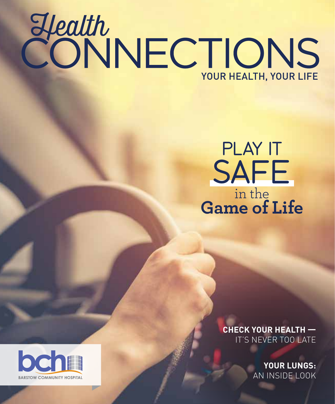# Health<br>CONNECTIONS YOUR HEALTH, YOUR LIFE

## PLAY IT SAFE in the **Game of Life**

**CHECK YOUR HEALTH —** IT'S NEVER TOO LATE

> **YOUR LUNGS:** AN INSIDE LOOK

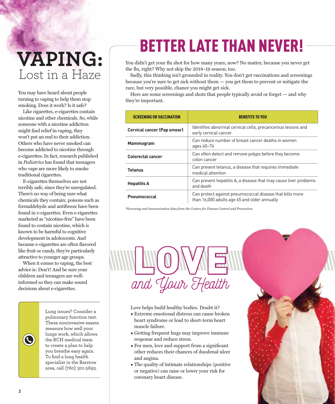## Lost in a Haze **VAPING:**

You may have heard about people turning to vaping to help them stop smoking. Does it work? Is it safe?

Like cigarettes, e-cigarettes contain nicotine and other chemicals. So, while someone with a nicotine addiction might find relief in vaping, they won't put an end to their addiction. Others who have never smoked can become addicted to nicotine through e-cigarettes. In fact, research published in *Pediatrics* has found that teenagers who vape are more likely to smoke traditional cigarettes.

E-cigarettes themselves are not terribly safe, since they're unregulated. There's no way of being sure what chemicals they contain; poisons such as formaldehyde and antifreeze have been found in e-cigarettes. Even e-cigarettes marketed as "nicotine-free" have been found to contain nicotine, which is known to be harmful to cognitive development in adolescents. And because e-cigarettes are often flavored like fruit or candy, they're particularly attractive to younger age groups.

When it comes to vaping, the best advice is: Don't! And be sure your children and teenagers are wellinformed so they can make sound decisions about e-cigarettes.



Lung issues? Consider a pulmonary function test. These noninvasive exams measure how well your lungs work, which allows the BCH medical team to create a plan to help you breathe easy again. To find a lung health specialist in the Barstow area, call (760) 301-5693.

## BETTER LATE THAN NEVER!

You didn't get your flu shot for how many years, now? No matter, because you never get the flu, right? Why not skip the 2018-19 season, too.

Sadly, this thinking isn't grounded in reality. You don't get vaccinations and screenings because you're sure to get sick without them  $-$  you get them to prevent or mitigate the rare, but very possible, chance you might get sick.

Here are some screenings and shots that people typically avoid or forget — and why they're important.

| <b>SCREENING OR VACCINATION</b>    | <b>BENEFITS TO YOU</b>                                                                                   |
|------------------------------------|----------------------------------------------------------------------------------------------------------|
| <b>Cervical cancer (Pap smear)</b> | Identifies abnormal cervical cells, precancerous lesions and<br>early cervical cancer                    |
| <b>Mammogram</b>                   | Can reduce number of breast cancer deaths in women<br>ages 40-74                                         |
| <b>Colorectal cancer</b>           | Can often detect and remove polyps before they become<br>colon cancer                                    |
| <b>Tetanus</b>                     | Can prevent tetanus, a disease that requires immediate<br>medical attention                              |
| <b>Hepatitis A</b>                 | Can prevent hepatitis A, a disease that may cause liver problems<br>and death                            |
| Pneumococcal                       | Can protect against pneumococcal disease that kills more<br>than 16,000 adults age 65 and older annually |

*\*Screening and immunization data from the Centers for Disease Control and Prevention*



Love helps build healthy bodies. Doubt it?

- Extreme emotional distress can cause broken heart syndrome or lead to short-term heart muscle failure.
- Getting frequent hugs may improve immune response and reduce stress.
- $\bullet$  For men, love and support from a significant other reduces their chances of duodenal ulcer and angina.
- The quality of intimate relationships (positive or negative) can raise or lower your risk for coronary heart disease.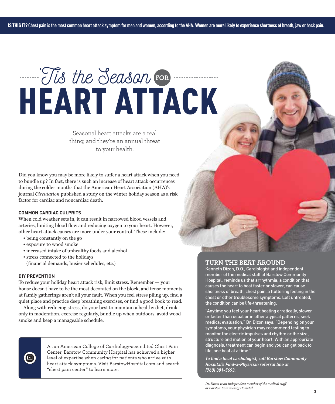## HEART ATTACK 'Tis the Season **FOR**

Seasonal heart attacks are a real thing, and they're an annual threat to your health.

Did you know you may be more likely to suffer a heart attack when you need to bundle up? In fact, there is such an increase of heart attack occurrences during the colder months that the American Heart Association (AHA)'s journal *Circulation* published a study on the winter holiday season as a risk factor for cardiac and noncardiac death.

#### **COMMON CARDIAC CULPRITS**

When cold weather sets in, it can result in narrowed blood vessels and arteries, limiting blood flow and reducing oxygen to your heart. However, other heart attack causes are more under your control. These include:

- being constantly on the go
- exposure to wood smoke
- increased intake of unhealthy foods and alcohol
- stress connected to the holidays (financial demands, busier schedules, etc.)

#### **DIY PREVENTION**

To reduce your holiday heart attack risk, limit stress. Remember — your house doesn't have to be the most decorated on the block, and tense moments at family gatherings aren't all your fault. When you feel stress piling up, find a quiet place and practice deep breathing exercises, or find a good book to read.

Along with reducing stress, do your best to maintain a healthy diet, drink only in moderation, exercise regularly, bundle up when outdoors, avoid wood smoke and keep a manageable schedule.



As an American College of Cardiology-accredited Chest Pain Center, Barstow Community Hospital has achieved a higher level of expertise when caring for patients who arrive with heart attack symptoms. Visit BarstowHospital.com and search "chest pain center" to learn more.

#### **TURN THE BEAT AROUND**

Kenneth Dizon, D.O., Cardiologist and independent member of the medical staff at Barstow Community Hospital, reminds us that arrhythmia, a condition that causes the heart to beat faster or slower, can cause shortness of breath, chest pain, a fluttering feeling in the chest or other troublesome symptoms. Left untreated, the condition can be life-threatening.

"Anytime you feel your heart beating erratically, slower or faster than usual or in other atypical patterns, seek medical evaluation," Dr. Dizon says. "Depending on your symptoms, your physician may recommend testing to monitor the electric impulses and rhythm or the size, structure and motion of your heart. With an appropriate diagnosis, treatment can begin and you can get back to life, one beat at a time."

*To find a local cardiologist, call Barstow Community Hospital's Find-a-Physician referral line at (760) 301-5693.*

*Dr. Dizon is an independent member of the medical staff at Barstow Community Hospital.*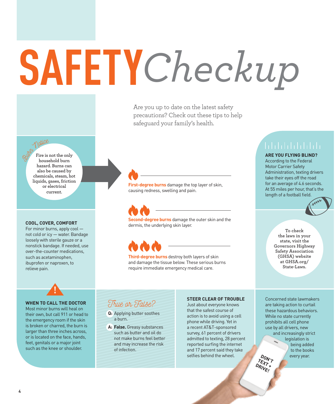# **SAFETY***Checkup*

Are you up to date on the latest safety precautions? Check out these tips to help safeguard your family's health.

### Notice

**Fire is not the only household burn hazard. Burns can also be caused by chemicals, steam, hot liquids, gases, friction or electrical current.**

#### **COOL, COVER, COMFORT**

For minor burns, apply cool not cold or icy — water. Bandage loosely with sterile gauze or a nonstick bandage. If needed, use over-the-counter medications, such as acetaminophen, ibuprofen or naproxen, to relieve pain.

**First-degree burns** damage the top layer of skin, causing redness, swelling and pain.

**Second-degree burns** damage the outer skin and the dermis, the underlying skin layer.

**Third-degree burns** destroy both layers of skin and damage the tissue below. These serious burns require immediate emergency medical care.

**ARE YOU FLYING BLIND?** 

According to the Federal Motor Carrier Safety Administration, texting drivers take their eyes off the road for an average of 4.6 seconds. At 55 miles per hour, that's the length of a football field.

> **To check the laws in your state, visit the Governors Highway Safety Association (GHSA) website at GHSA.org/ State-Laws.**

#### **WHEN TO CALL THE DOCTOR**

Most minor burns will heal on their own, but call 911 or head to the emergency room if the skin is broken or charred, the burn is larger than three inches across, or is located on the face, hands, feet, genitals or a major joint such as the knee or shoulder.

#### True or False?

- **Q:** Applying butter soothes a burn.
- **A: False.** Greasy substances such as butter and oil do not make burns feel better and may increase the risk of infection.

#### **STEER CLEAR OF TROUBLE**

Just about everyone knows that the safest course of action is to avoid using a cell phone while driving. Yet in a recent AT&T-sponsored survey, 61 percent of drivers admitted to texting, 28 percent reported surfing the internet and 17 percent said they take selfies behind the wheel.

**DON'T TEXT** Concerned state lawmakers are taking action to curtail these hazardous behaviors. While no state currently prohibits all cell phone use by all drivers, new and increasingly strict legislation is being added to the books every year.

DRIVE!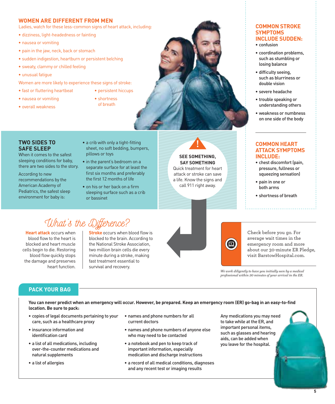#### **WOMEN ARE DIFFERENT FROM MEN**

Ladies, watch for these less-common signs of heart attack, including:

- dizziness, light-headedness or fainting
- nausea or vomiting
- pain in the jaw, neck, back or stomach
- sudden indigestion, heartburn or persistent belching
- sweaty, clammy or chilled feeling
- unusual fatigue
- Women are more likely to experience these signs of stroke:
- fast or fluttering heartbeat
- nausea or vomiting
- shortness
- overall weakness
- of breath

• persistent hiccups

#### **TWO SIDES TO SAFE SLEEP**

When it comes to the safest sleeping conditions for baby, there are two sides to the story.

According to new recommendations by the American Academy of Pediatrics, the safest sleep environment for baby is:

- a crib with only a tight-fitting sheet, no soft bedding, bumpers, pillows or toys
- in the parent's bedroom on a separate surface for at least the first six months and preferably the first 12 months of life
- on his or her back on a firm sleeping surface such as a crib or bassinet

#### **SAY SOMETHING** Quick treatment for heart

attack or stroke can save a life. Know the signs and call 911 right away.

**SEE SOMETHING,** 

#### **COMMON STROKE SYMPTOMS INCLUDE SUDDEN:**

- confusion
- coordination problems, such as stumbling or losing balance
- difficulty seeing, such as blurriness or double vision
- severe headache
- trouble speaking or understanding others
- weakness or numbness on one side of the body

#### **COMMON HEART ATTACK SYMPTOMS INCLUDE:**

- chest discomfort (pain, pressure, fullness or squeezing sensation)
- pain in one or both arms
- shortness of breath

### What's the Difference?

**Heart attack** occurs when blood flow to the heart is blocked and heart muscle cells begin to die. Restoring blood flow quickly stops the damage and preserves heart function.

**Stroke** occurs when blood flow is blocked to the brain. According to the National Stroke Association, two million brain cells die every minute during a stroke, making fast treatment essential to survival and recovery.



0

Check before you go. For average wait times in the emergency room and more about our 30-minute ER Pledge, visit BarstowHospital.com.

*We work diligently to have you initially seen by a medical professional within 30 minutes of your arrival in the ER.*

#### **PACK YOUR BAG**

**You can never predict when an emergency will occur. However, be prepared. Keep an emergency room (ER) go-bag in an easy-to-find location. Be sure to pack:**

- copies of legal documents pertaining to your care, such as a healthcare proxy
- insurance information and identification card
- a list of all medications, including over-the-counter medications and natural supplements
- a list of allergies
- names and phone numbers for all current doctors
- names and phone numbers of anyone else who may need to be contacted
- a notebook and pen to keep track of important information, especially medication and discharge instructions
- a record of all medical conditions, diagnoses and any recent test or imaging results

Any medications you may need to take while at the ER, and important personal items, such as glasses and hearing aids, can be added when you leave for the hospital.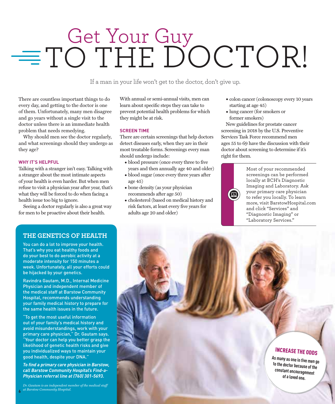# $=$  TO THE DOCTOR!

If a man in your life won't get to the doctor, don't give up.

There are countless important things to do every day, and getting to the doctor is one of them. Unfortunately, many men disagree and go years without a single visit to the doctor unless there is an immediate health problem that needs remedying.

Why should men see the doctor regularly, and what screenings should they undergo as they age?

#### **WHY IT'S HELPFUL**

Talking with a stranger isn't easy. Talking with a stranger about the most intimate aspects of your health is even harder. But when men refuse to visit a physician year after year, that's what they will be forced to do when facing a health issue too big to ignore.

Seeing a doctor regularly is also a great way for men to be proactive about their health.

With annual or semi-annual visits, men can learn about specific steps they can take to prevent potential health problems for which they might be at risk.

#### **SCREEN TIME**

There are certain screenings that help doctors detect diseases early, when they are in their most treatable forms. Screenings every man should undergo include:

- blood pressure (once every three to five years and then annually age 40 and older)
- blood sugar (once every three years after age 45)
- bone density (as your physician recommends after age 50)
- cholesterol (based on medical history and risk factors, at least every five years for adults age 20 and older)
- colon cancer (colonoscopy every 10 years starting at age 45)
- lung cancer (for smokers or former smokers)

New guidelines for prostate cancer screening in 2018 by the U.S. Preventive Services Task Force recommend men ages 55 to 69 have the discussion with their doctor about screening to determine if it's right for them.



Most of your recommended screenings can be performed locally at BCH's Diagnostic Imaging and Laboratory. Ask your primary care physician to refer you locally. To learn more, visit BarstowHospital.com and click "Services" and "Diagnostic Imaging" or "Laboratory Services."

#### **THE GENETICS OF HEALTH**

You can do a lot to improve your health. That's why you eat healthy foods and do your best to do aerobic activity at a moderate intensity for 150 minutes a week. Unfortunately, all your efforts could be hijacked by your genetics.

Ravindra Gautam, M.D., Internal Medicine Physician and independent member of the medical staff at Barstow Community Hospital, recommends understanding your family medical history to prepare for the same health issues in the future.

"To get the most useful information out of your family's medical history and avoid misunderstandings, work with your primary care physician," Dr. Gautam says. "Your doctor can help you better grasp the likelihood of genetic health risks and give you individualized ways to maintain your good health, despite your DNA."

*To find a primary care physician in Barstow, call Barstow Community Hospital's Find-a-Physician referral line at (760) 301-5693.*

INCREASE THE ODDS

**As many as one in five men go to the doctor because of the constant encouragement of a loved one.**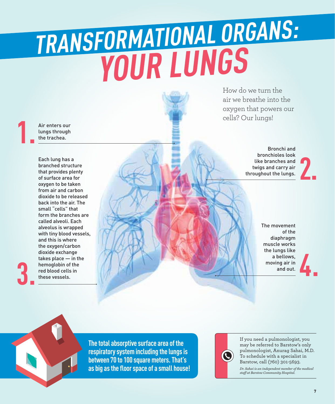## **YOUR LUNGS TRANSFORMATIONAL ORGANS:**

Air enters our lungs through the trachea.

**1.**

**3.**

Each lung has a branched structure that provides plenty of surface area for oxygen to be taken from air and carbon dioxide to be released back into the air . The small "cells" that form the branches are called alveoli. Each alveolus is wrapped with tiny blood vessels, and this is where the oxygen/carbon dioxide exchange takes place — in the hemoglobin of the red blood cells in these vessels.

How do we turn the air we breathe into the oxygen that powers our cells? Our lungs!

> Bronchi and bronchioles look like branches and twigs and carry air throughout the lungs.

**2.**

The movement of the diaphragm muscle works the lungs like a bellows, moving air in and out.

**The total absorptive surface area of the respiratory system including the lungs is between 70 to 100 square meters. That's as big as the floor space of a small house!**



If you need a pulmonologist, you may be referred to Barstow's only pulmonologist, Anurag Sahai, M.D. To schedule with a specialist in Barstow, call (760) 301-5693.

*Dr. Sahai is an independent member of the medical staff at Barstow Community Hospital.*

**4.**